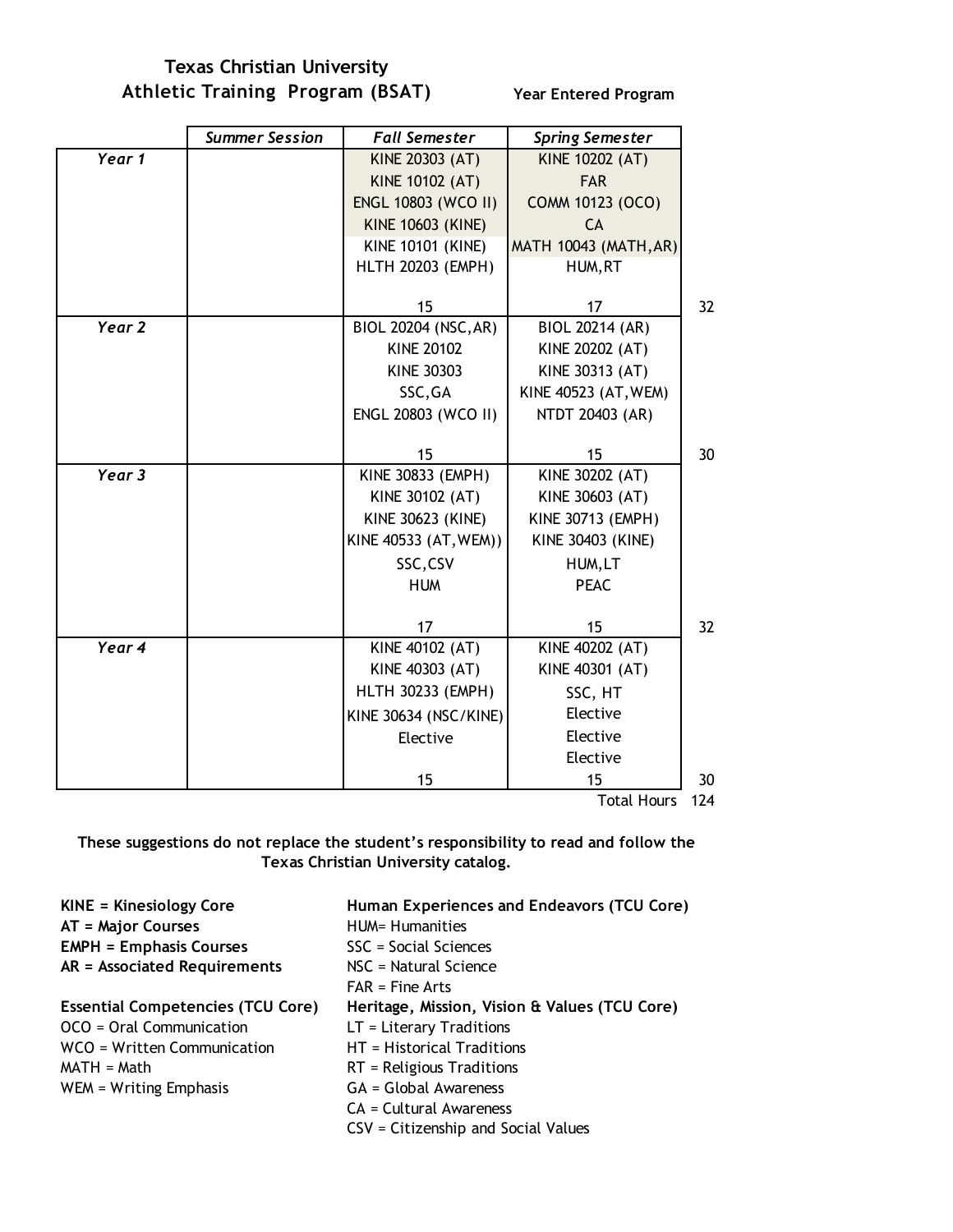**Texas Christian University Athletic Training Program (BSAT) Year Entered Program**

|        | <b>Summer Session</b> | <b>Fall Semester</b>     | <b>Spring Semester</b>       |     |
|--------|-----------------------|--------------------------|------------------------------|-----|
| Year 1 |                       | KINE 20303 (AT)          | KINE 10202 (AT)              |     |
|        |                       | <b>KINE 10102 (AT)</b>   | <b>FAR</b>                   |     |
|        |                       | ENGL 10803 (WCO II)      | COMM 10123 (OCO)             |     |
|        |                       | <b>KINE 10603 (KINE)</b> | CA                           |     |
|        |                       | <b>KINE 10101 (KINE)</b> | <b>MATH 10043 (MATH, AR)</b> |     |
|        |                       | <b>HLTH 20203 (EMPH)</b> | HUM, RT                      |     |
|        |                       | 15                       | 17                           | 32  |
| Year 2 |                       | BIOL 20204 (NSC, AR)     | <b>BIOL 20214 (AR)</b>       |     |
|        |                       | <b>KINE 20102</b>        | KINE 20202 (AT)              |     |
|        |                       | KINE 30303               | KINE 30313 (AT)              |     |
|        |                       | SSC, GA                  | KINE 40523 (AT, WEM)         |     |
|        |                       | ENGL 20803 (WCO II)      | NTDT 20403 (AR)              |     |
|        |                       | 15                       | 15                           | 30  |
| Year 3 |                       | KINE 30833 (EMPH)        | KINE 30202 (AT)              |     |
|        |                       | KINE 30102 (AT)          | KINE 30603 (AT)              |     |
|        |                       | <b>KINE 30623 (KINE)</b> | <b>KINE 30713 (EMPH)</b>     |     |
|        |                       | KINE 40533 (AT, WEM))    | <b>KINE 30403 (KINE)</b>     |     |
|        |                       | SSC,CSV                  | HUM, LT                      |     |
|        |                       | <b>HUM</b>               | <b>PEAC</b>                  |     |
|        |                       |                          |                              |     |
|        |                       | 17                       | 15                           | 32  |
| Year 4 |                       | KINE 40102 (AT)          | KINE 40202 (AT)              |     |
|        |                       | KINE 40303 (AT)          | KINE 40301 (AT)              |     |
|        |                       | <b>HLTH 30233 (EMPH)</b> | SSC, HT                      |     |
|        |                       | KINE 30634 (NSC/KINE)    | Elective                     |     |
|        |                       | Elective                 | Elective                     |     |
|        |                       |                          | Elective                     |     |
|        |                       | 15                       | 15                           | 30  |
|        |                       |                          | <b>Total Hours</b>           | 124 |

**These suggestions do not replace the student's responsibility to read and follow the** 

**Texas Christian University catalog.**

**KINE = Kinesiology Core Human Experiences and Endeavors (TCU Core)** AT = Major Courses HUM= Humanities **EMPH = Emphasis Courses** SSC = Social Sciences **AR = Associated Requirements** NSC = Natural Science FAR = Fine Arts **Essential Competencies (TCU Core) Heritage, Mission, Vision & Values (TCU Core)** OCO = Oral Communication LT = Literary Traditions WCO = Written Communication HT = Historical Traditions MATH = Math RT = Religious Traditions WEM = Writing Emphasis GA = Global Awareness CA = Cultural Awareness CSV = Citizenship and Social Values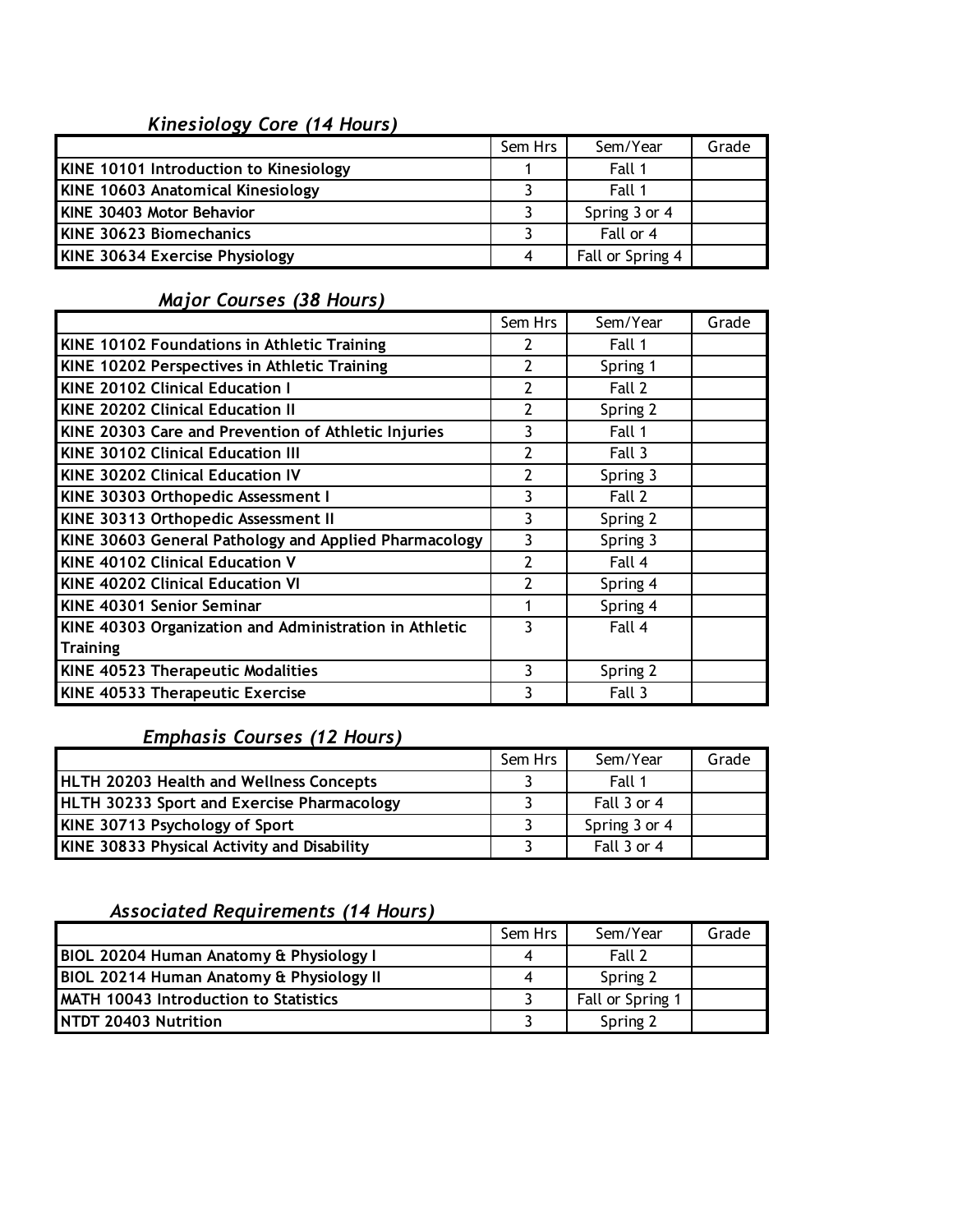# *Kinesiology Core (14 Hours)*

|                                          | Sem Hrs | Sem/Year         | Grade |
|------------------------------------------|---------|------------------|-------|
| KINE 10101 Introduction to Kinesiology   |         | Fall 1           |       |
| <b>KINE 10603 Anatomical Kinesiology</b> |         | Fall 1           |       |
| KINE 30403 Motor Behavior                |         | Spring 3 or 4    |       |
| <b>KINE 30623 Biomechanics</b>           |         | Fall or 4        |       |
| KINE 30634 Exercise Physiology           | 4       | Fall or Spring 4 |       |

### *Major Courses (38 Hours)*

|                                                        | Sem Hrs        | Sem/Year | Grade |
|--------------------------------------------------------|----------------|----------|-------|
| KINE 10102 Foundations in Athletic Training            | 2              | Fall 1   |       |
| KINE 10202 Perspectives in Athletic Training           | 2              | Spring 1 |       |
| <b>KINE 20102 Clinical Education I</b>                 | $\overline{2}$ | Fall 2   |       |
| <b>KINE 20202 Clinical Education II</b>                | $\overline{2}$ | Spring 2 |       |
| KINE 20303 Care and Prevention of Athletic Injuries    | 3              | Fall 1   |       |
| <b>KINE 30102 Clinical Education III</b>               | 2              | Fall 3   |       |
| <b>KINE 30202 Clinical Education IV</b>                | 2              | Spring 3 |       |
| KINE 30303 Orthopedic Assessment I                     | 3              | Fall 2   |       |
| KINE 30313 Orthopedic Assessment II                    | 3              | Spring 2 |       |
| KINE 30603 General Pathology and Applied Pharmacology  | 3              | Spring 3 |       |
| <b>KINE 40102 Clinical Education V</b>                 | $\overline{2}$ | Fall 4   |       |
| <b>KINE 40202 Clinical Education VI</b>                | 2              | Spring 4 |       |
| <b>KINE 40301 Senior Seminar</b>                       |                | Spring 4 |       |
| KINE 40303 Organization and Administration in Athletic | 3              | Fall 4   |       |
| <b>Training</b>                                        |                |          |       |
| KINE 40523 Therapeutic Modalities                      | 3              | Spring 2 |       |
| KINE 40533 Therapeutic Exercise                        | 3              | Fall 3   |       |

## *Emphasis Courses (12 Hours)*

|                                                   | Sem Hrs | Sem/Year      | Grade |
|---------------------------------------------------|---------|---------------|-------|
| <b>HLTH 20203 Health and Wellness Concepts</b>    |         | Fall 1        |       |
| <b>HLTH 30233 Sport and Exercise Pharmacology</b> |         | Fall 3 or 4   |       |
| KINE 30713 Psychology of Sport                    |         | Spring 3 or 4 |       |
| KINE 30833 Physical Activity and Disability       |         | Fall 3 or 4   |       |

### *Associated Requirements (14 Hours)*

|                                          | Sem Hrs | Sem/Year         | Grade |
|------------------------------------------|---------|------------------|-------|
| BIOL 20204 Human Anatomy & Physiology I  | 4       | Fall 2           |       |
| BIOL 20214 Human Anatomy & Physiology II | 4       | Spring 2         |       |
| MATH 10043 Introduction to Statistics    |         | Fall or Spring 1 |       |
| NTDT 20403 Nutrition                     |         | Spring 2         |       |